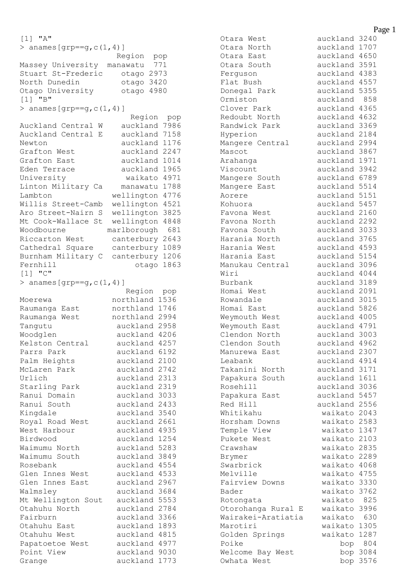```
[1] "A"
> anames [grp == g, c(1, 4)] Region pop
Massey University manawatu 771
Stuart St-Frederic otago 2973
North Dunedin otago 3420
Otago University otago 4980
[1] "B"
> anames [grp == g, c(1, 4)] Region pop
Auckland Central W auckland 7986
Auckland Central E auckland 7158
Newton auckland 1176
Grafton West auckland 2247
Grafton East auckland 1014
Eden Terrace auckland 1965
University waikato 4971
Linton Military Ca manawatu 1788
Lambton wellington 4776
Willis Street-Camb wellington 4521
Aro Street-Nairn S wellington 3825
Mt Cook-Wallace St wellington 4848
Woodbourne marlborough 681
Riccarton West canterbury 2643
Cathedral Square canterbury 1089
Burnham Military C canterbury 1206
Fernhill blue otago 1863
[1] "C"
> anames [qrp == q, c(1, 4)] Region pop
Moerewa northland 1536
Raumanga East northland 1746
Raumanga West northland 2994
Tangutu auckland 2958
Woodglen auckland 4206
Kelston Central auckland 4257
Parrs Park auckland 6192
Palm Heights auckland 2100
McLaren Park auckland 2742
Urlich auckland 2313
Starling Park auckland 2319
Ranui Domain auckland 3033
Ranui South auckland 2433
Kingdale auckland 3540
Royal Road West auckland 2661
West Harbour auckland 4935
Birdwood auckland 1254
Waimumu North auckland 5283
Waimumu South auckland 3849
Rosebank auckland 4554
Glen Innes West auckland 4533
Glen Innes East auckland 2967
Walmsley auckland 3684
Mt Wellington Sout auckland 5553
Otahuhu North auckland 2784
Fairburn auckland 3366
Otahuhu East auckland 1893
Otahuhu West auckland 4815
Papatoetoe West auckland 4977
Point View auckland 9030
Grange auckland 1773
```
Otara West auckland 3240 Otara North auckland 1707 Otara East auckland 4650 Otara South auckland 3591 Ferguson auckland 4383 Donegal Park auckland 5355 Ormiston auckland 858 Clover Park auckland 4365 Redoubt North auckland 4632 Randwick Park auckland 3369 Hyperion auckland 2184 Mangere Central auckland 2994 Mascot auckland 3867 Arahanga auckland 1971 Viscount auckland 3942 Mangere South auckland 6789 Mangere East auckland 5514 Aorere auckland 5151 Kohuora auckland 5457 Favona West auckland 2160 Favona North auckland 2292 Favona South auckland 3033 Harania North auckland 3765 narania Noron.<br>Harania West auckland 4593 Harania East auckland 5154 Manukau Central auckland 3096 Wiri auckland 4044 Burbank auckland 3189 Homai West auckland 2091 Rowandale auckland 3015 Homai East auckland 5826 Weymouth West auckland 4005 Weymouth East auckland 4791 Clendon North auckland 3003 Clendon South auckland 4962 Manurewa East auckland 2307 Leabank auckland 4914 Takanini North auckland 3171 Papakura South auckland 1611 Rosehill auckland 3036 Papakura East auckland 5457 Red Hill auckland 2556 Whitikahu waikato 2043 Horsham Downs waikato 2583 Temple View Waikato 1347 Pukete West Waikato 2103 Crawshaw waikato 2835 Brymer waikato 2289 Swarbrick waikato 4068 Melville waikato 4755 Fairview Downs waikato 3330 Bader waikato 3762 Rotongata waikato 825 Otorohanga Rural E waikato 3996 Wairakei-Aratiatia waikato 630 Marotiri waikato 1305 Golden Springs waikato 1287 Poike bop 804 Welcome Bay West bop 3084 Owhata West bop 3576

auckland 4557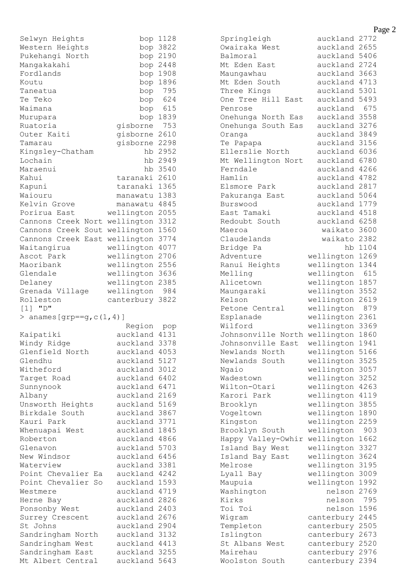| Selwyn Heights                        | bop                  | 1128         |
|---------------------------------------|----------------------|--------------|
| Western Heights                       | bop                  | 3822         |
| Pukehangi North                       | bop                  | 2190         |
| Mangakakahi                           | bop                  | 2448         |
| Fordlands                             | bop                  | 1908         |
| Koutu                                 | bop                  | 1896         |
| Taneatua                              | bop                  | 795          |
| Te Teko                               | bop                  | 624          |
| Waimana                               | bop                  | 615          |
| Murupara                              | bop                  | 1839         |
| Ruatoria                              | gisborne             | 753          |
| Outer Kaiti                           | gisborne             | 2610         |
| Tamarau                               | gisborne             | 2298         |
| Kingsley-Chatham                      | hb                   | 2952         |
| Lochain                               | hb                   | 2949         |
| Maraenui                              | hb                   | 3540         |
| Kahui                                 | taranaki             | 2610         |
| Kapuni                                | taranaki             | 1365         |
| Waiouru                               | manawatu             | 1383         |
| Kelvin Grove                          | manawatu             | 4845         |
|                                       |                      | 2055         |
| Porirua East                          | wellington           |              |
| Cannons Creek<br>Nort                 | wellington           | 3312         |
| Creek<br>Cannons<br>Sout              | wellington           | 1560         |
| Creek<br>East<br>Cannons              | wellington           | 3774         |
| Waitangirua                           | wellington           | 4077         |
| Ascot Park                            | wellington           | 2706         |
| Maoribank                             | wellington           | 2556         |
| Glendale                              | wellington           | 3636         |
| Delaney                               | wellington           | 2385         |
| Grenada Village                       | wellington           | 984          |
| Rolleston                             | canterbury           | 3822         |
|                                       |                      |              |
| $[1]$ "D"                             |                      |              |
| anames [grp==g, $c(1, 4)$ ]<br>>      |                      |              |
|                                       | Region               | pop          |
| Kaipatiki                             | auckland             | 4131         |
| Windy Ridge                           | auckland             | 3378         |
| Glenfield North                       | auckland             | 4053         |
| Glendhu                               | auckland             | 5127         |
| Witheford                             | auckland             | 3012         |
| Target Road                           | auckland 6402        |              |
| Sunnynook                             | auckland 6471        |              |
| Albany                                | auckland 2169        |              |
| Unsworth Heights                      | auckland 5169        |              |
| Birkdale South                        | auckland             | 3867         |
| Kauri Park                            | auckland 3771        |              |
| Whenuapai West                        | auckland 1845        |              |
| Roberton                              | auckland 4866        |              |
| Glenavon                              | auckland 5703        |              |
| New Windsor                           | auckland 6456        |              |
| Waterview                             | auckland             | 3381         |
| Point Chevalier<br>Еa                 | auckland 4242        |              |
| Point Chevalier<br>So                 | auckland             | 1593         |
| Westmere                              | auckland             | 4719         |
| Herne<br>Bay                          | auckland             | 2826         |
| Ponsonby West                         | auckland             | 2403         |
| Surrey Crescent                       | auckland             | 2676         |
| St Johns                              | auckland 2904        |              |
| Sandringham North                     | auckland             | 3132         |
| Sandringham West                      | auckland 4413        |              |
| Sandringham East<br>Mt Albert Central | auckland<br>auckland | 3255<br>5643 |

Springleigh auckland 2772 Springleigh auckland 2772<br>Owairaka West auckland 2655<br>Palmoral auckland 5406 Balmoral auckland 5406 Mt Eden East auckland 2724 Maungawhau auckland 3663 Mt Eden South auckland 4713 Three Kings auckland 5301 One Tree Hill East auckland 5493 Penrose auckland 675 Onehunga North Eas auckland 3558 Onehunga South Eas auckland 3276 Oranga auckland 3849 Te Papapa auckland 3156 Ellerslie North auckland 6036 Mt Wellington Nort auckland 6780 Ferndale auckland 4266 Hamlin auckland 4782 Elsmore Park auckland 2817 Pakuranga East auckland 5064 Burswood auckland 1779 East Tamaki auckland 4518<br>Redoubt South auckland 6258 Redoubt South Maeroa waikato 3600 Claudelands waikato 2382 Bridge Pa hb 1104<br>Adventure wellington 1269 wellington 1269 Ranui Heights wellington 1344 Melling wellington 615 Alicetown wellington 1857<br>Maungaraki wellington 3552 wellington 3552 Kelson wellington 2619 Petone Central wellington 879<br>Esplanade wellington 2361 wellington 2361 Wilford **wellington** 3369 Johnsonville North wellington 1860 Johnsonville East wellington 1941 Newlands North wellington 5166 Newlands South wellington 3525 Ngaio wellington 3057 Wadestown **wellington** 3252 Wilton-Otari wellington 4263 Karori Park wellington 4119 Brooklyn wellington 3855 Vogeltown wellington 1890 Kingston wellington 2259 Brooklyn South wellington 903 Happy Valley-Owhir wellington 1662 Island Bay West wellington 3327 Island Bay East wellington 3624 Melrose wellington 3195<br>
Lyall Bay wellington 3009<br>
Maupuia wellington 1992 wellington 3009 wellington 1992 Washington nelson 2769 Kirks nelson 795 Toi Toi nelson 1596<br>Wigram canterbury 2445 canterbury 2445 Templeton canterbury 2505 Islington canterbury 2673 St Albans West canterbury 2520 Mairehau canterbury 2976 Woolston South canterbury 2394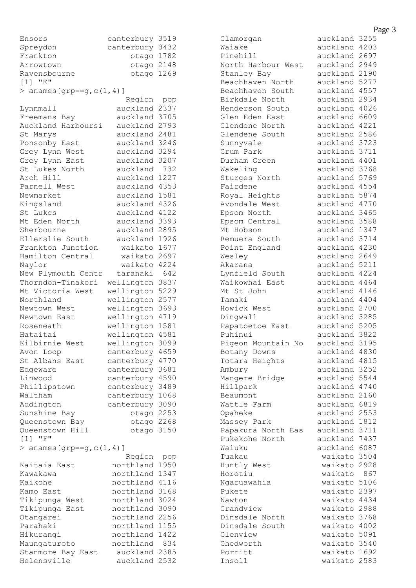| Ensors                             | canterbury    | 3519        |
|------------------------------------|---------------|-------------|
| Spreydon                           | canterbury    | 3432        |
| Frankton                           | otago         | 1782        |
| Arrowtown                          | otago 2148    |             |
| Ravensbourne                       | otago         | 1269        |
| $[1]$ "E"                          |               |             |
| > anames [grp == $g$ , $c(1, 4)$ ] |               |             |
|                                    | Region        | pop         |
| Lynnmall                           | auckland      | 2337        |
| Freemans Bay                       | auckland      | 3705        |
| Auckland Harboursi                 | auckland      | 2793        |
| St Marys                           | auckland      | 2481        |
| Ponsonby East                      | auckland      | 3246        |
| Grey Lynn West                     | auckland      | 3294        |
| Grey Lynn East                     | auckland      | 3207        |
| St Lukes North                     | auckland      | 732         |
| Arch Hill                          | auckland      | 1227        |
| Parnell West                       | auckland      | 4353        |
| Newmarket                          | auckland      | 1581        |
| Kingsland                          | auckland      | 4326        |
| St Lukes                           | auckland      | 4122        |
| Mt Eden North                      | auckland      | 3393        |
| Sherbourne                         | auckland      | 2895        |
| Ellerslie South                    | auckland      | 1926        |
| Frankton Junction                  | waikato       | 1677        |
| Hamilton Central                   | waikato       | 2697        |
| Naylor                             | waikato       | 4224        |
| New Plymouth Centr                 | taranaki      | 642         |
| Thorndon-Tinakori                  | wellington    | 3837        |
| Mt Victoria West                   | wellington    | 5229        |
| Northland                          | wellington    | 2577        |
| Newtown West                       | wellington    | 3693        |
| Newtown East                       | wellington    | 4719        |
| Roseneath                          | wellington    | 1581        |
| Hataitai                           | wellington    | 4581        |
| Kilbirnie West                     | wellington    | 3099        |
| Avon Loop                          | canterbury    | 4659        |
| St Albans<br>East                  | canterbury    | 4770        |
| Edgeware                           | canterbury    | 3681        |
| Linwood                            |               | 4590        |
|                                    | canterbury    | 3489        |
| Phillipstown                       | canterbury    |             |
| Waltham                            | canterbury    | 1068        |
| Addington                          | canterbury    | 3090        |
| Sunshine Bay                       | otago         | 2253        |
| Queenstown<br>Bay                  | otago 2268    |             |
| Hill<br>Queenstown<br>"F"          | otago         | 3150        |
| $\lceil 1 \rceil$                  |               |             |
| > anames [grp == $g$ , $c(1, 4)$ ] | Region        |             |
| Kaitaia East                       | northland     | pop<br>1950 |
| Kawakawa                           | northland     | 1347        |
| Kaikohe                            |               | 4116        |
|                                    | northland     |             |
| Kamo East                          | northland     | 3168        |
| Tikipunga West                     | northland     | 3024        |
| Tikipunga<br>East                  | northland     | 3090        |
| Otangarei                          | northland     | 2256        |
| Parahaki                           | northland     | 1155        |
| Hikurangi                          | northland     | 1422        |
| Maungaturoto                       | northland     | 834         |
| Stanmore Bay East                  | auckland      | 2385        |
| Helensville                        | auckland 2532 |             |

Glamorgan auckland 3255 Waiake auckland 4203 Pinehill auckland 2697 North Harbour West auckland 2949 Stanley Bay auckland 2190 Beachhaven North auckland 5277 Beachhaven South auckland 4557 Birkdale North auckland 2934 Henderson South auckland 4026 Glen Eden East auckland 6609 Glendene North auckland 4221 Glendene South auckland 2586 Sunnyvale auckland 3723 Crum Park auckland 3711 Crum Park auckland 3711<br>Durham Green auckland 4401 Wakeling auckland 3768<br>Sturges North auckland 5769 Sturges North Fairdene auckland 4554 Royal Heights auckland 5874 Avondale West auckland 4770 Epsom North auckland 3465 Epsom Central auckland 3588 Mt Hobson auckland 1347 Remuera South auckland 3714 Point England auckland 4230 Wesley auckland 2649 Akarana auckland 5211 Lynfield South auckland 4224 Waikowhai East auckland 4464 Mt St John auckland 4146 Tamaki auckland 4404 Howick West auckland 2700 Dingwall auckland 3285 Papatoetoe East auckland 5205 Puhinui auckland 3822 Pigeon Mountain No auckland 3195 Botany Downs auckland 4830 Totara Heights auckland 4815 Ambury auckland 3252 Mangere Bridge auckland 5544 Hillpark auckland 4740 Beaumont auckland 2160 Beaumont auckland 2160<br>
Wattle Farm auckland 6819 Opaheke auckland 2553 Massey Park auckland 1812 Papakura North Eas auckland 3711 Pukekohe North auckland 7437 Waiuku auckland 6087 Tuakau waikato 3504 Huntly West waikato 2928 Horotiu waikato 867 Ngaruawahia waikato 5106 Pukete **waikato** 2397 Nawton waikato 4434 Grandview waikato 2988 Dinsdale North waikato 3768 Dinsdale South waikato 4002 Glenview waikato 5091 Chedworth waikato 3540 Porritt waikato 1692 Insoll waikato 2583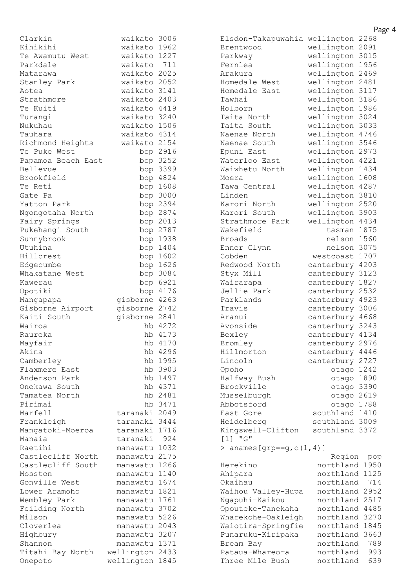| Clarkin            | waikato      | 3006     |
|--------------------|--------------|----------|
| Kihikihi           | waikato      | 1962     |
| Te Awamutu West    | waikato      | 1227     |
| Parkdale           | waikato      | 711      |
| Matarawa           | waikato      | 2025     |
| Stanley Park       | waikato      | 2052     |
| Aotea              | waikato      | 3141     |
| Strathmore         | waikato 2403 |          |
| Te Kuiti           | waikato      | 4419     |
| Turangi            | waikato      | 3240     |
| Nukuhau            | waikato 1506 |          |
| Tauhara            | waikato 4314 |          |
|                    | waikato 2154 |          |
| Richmond Heights   |              |          |
| Te Puke West       |              | bop 2916 |
| Papamoa Beach East |              | bop 3252 |
| Bellevue           |              | bop 3399 |
| Brookfield         |              | bop 4824 |
| Te Reti            |              | bop 1608 |
| Gate Pa            |              | bop 3000 |
| Yatton Park        | bop          | 2394     |
| Ngongotaha North   | bop          | 2874     |
| Fairy Springs      |              | bop 2013 |
| Pukehangi South    | bop          | 2787     |
| Sunnybrook         | bop          | 1938     |
| Utuhina            | bop          | 1404     |
| Hillcrest          | bop          | 1602     |
| Edgecumbe          | bop          | 1626     |
| Whakatane West     | bop          | 3084     |
| Kawerau            |              | bop 6921 |
| Opotiki            | bop          | 4176     |
| Mangapapa          | gisborne     | 4263     |
| Gisborne Airport   | gisborne     | 2742     |
| Kaiti South        | gisborne     | 2841     |
| Wairoa             |              | hb 4272  |
| Raureka            |              | hb 4173  |
| Mayfair            | hb           | 4170     |
| Akina              | hb           | 4296     |
| Camberley          | hb           | 1995     |
| Flaxmere East      | hb           | 3903     |
| Anderson Park      | hb           | 1497     |
| Onekawa South      |              | hb 4371  |
| Tamatea North      | hb           | 2481     |
| Pirimai            |              | hb 3471  |
| Marfell            | taranaki     | 2049     |
| Frankleigh         | taranaki     | 3444     |
| Mangatoki-Moeroa   | taranaki     | 1716     |
| Manaia             | taranaki     | 924      |
| Raetihi            | manawatu     | 1032     |
| Castlecliff North  | manawatu     | 2175     |
| Castlecliff South  | manawatu     | 1266     |
| Mosston            | manawatu     | 1140     |
| Gonville West      |              | 1674     |
|                    | manawatu     |          |
| Lower Aramoho      | manawatu     | 1821     |
| Wembley Park       | manawatu     | 1761     |
| Feilding North     | manawatu     | 3702     |
| Milson             | manawatu     | 5226     |
| Cloverlea          | manawatu     | 2043     |
| Highbury           | manawatu     | 3207     |
| Shannon            | manawatu     | 1371     |
| Titahi Bay North   | wellington   | 2433     |
| Onepoto            | wellington   | 1845     |

|                                    |            | гa   |
|------------------------------------|------------|------|
| Elsdon-Takapuwahia                 | wellington | 2268 |
| Brentwood                          | wellington | 2091 |
| Parkway                            | wellington | 3015 |
| Fernlea                            | wellington | 1956 |
| Arakura                            | wellington | 2469 |
| Homedale West                      | wellington | 2481 |
| Homedale East                      | wellington | 3117 |
| Tawhai                             | wellington | 3186 |
| Holborn                            | wellington | 1986 |
| Taita North                        | wellington | 3024 |
| Taita South                        | wellington | 3033 |
| Naenae North                       | wellington | 4746 |
| Naenae South                       | wellington | 3546 |
| Epuni East                         | wellington | 2973 |
| Waterloo East                      | wellington | 4221 |
| Waiwhetu North                     | wellington | 1434 |
| Moera                              | wellington | 1608 |
| Tawa Central                       | wellington | 4287 |
| Linden                             | wellington | 3810 |
| Karori<br>North                    | wellington | 2520 |
| Karori South                       | wellington | 3903 |
| Strathmore Park                    | wellington | 4434 |
| Wakefield                          | tasman     | 1875 |
| Broads                             | nelson     | 1560 |
| Enner Glynn                        | nelson     | 3075 |
| Cobden                             | westcoast  | 1707 |
| Redwood North                      | canterbury | 4203 |
| Styx Mill                          | canterbury | 3123 |
| Wairarapa                          | canterbury | 1827 |
| Jellie Park                        | canterbury | 2532 |
| Parklands                          | canterbury | 4923 |
| Travis                             | canterbury | 3006 |
| Aranui                             | canterbury | 4668 |
| Avonside                           | canterbury | 3243 |
| Bexley                             | canterbury | 4134 |
| Bromley                            | canterbury | 2976 |
| Hillmorton                         | canterbury | 4446 |
| Lincoln                            | canterbury | 2727 |
| Opoho                              | otago      | 1242 |
| Halfway Bush                       | otago      | 1890 |
| Brockville                         | otago      | 3390 |
| Musselburgh                        | otago      | 2619 |
| Abbotsford                         | otago      | 1788 |
| East Gore                          | southland  | 1410 |
| Heidelberg                         | southland  | 3009 |
| Kingswell-Clifton                  | southland  | 3372 |
| [1]<br>"G"                         |            |      |
| > anames [grp == $g$ , $c(1, 4)$ ] |            |      |
|                                    | Region     | pop  |
| Herekino                           | northland  | 1950 |
| Ahipara                            | northland  | 1125 |
| Okaihau                            | northland  | 714  |
| Waihou Valley-Hupa                 | northland  | 2952 |
| Ngapuhi-Kaikou                     | northland  | 2517 |
| Opouteke-Tanekaha                  | northland  | 4485 |
| Wharekohe-Oakleigh                 | northland  | 3270 |
| Waiotira-Springfie                 | northland  | 1845 |
| Punaruku-Kiripaka                  | northland  | 3663 |
| Bream Bay                          | northland  | 789  |
| Pataua-Whareora                    | northland  | 993  |
| Three Mile Bush                    | northland  | 639  |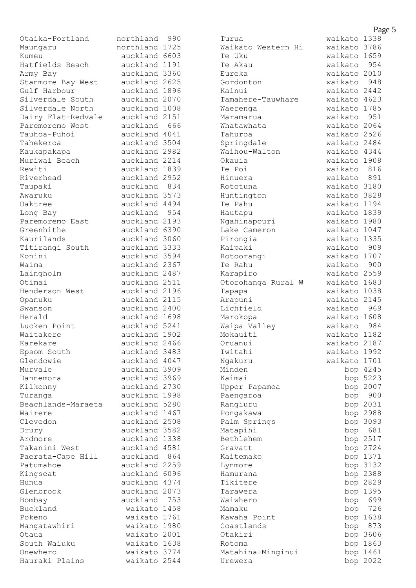| Otaika-Portland    | northland 990                  |      |
|--------------------|--------------------------------|------|
| Maungaru           | northland 1725                 |      |
| Kumeu              | auckland 6603                  |      |
| Hatfields Beach    | auckland 1191                  |      |
| Army Bay           | auckland 3360                  |      |
| Stanmore Bay West  | auckland 2625                  |      |
| Gulf Harbour       | auckland 1896                  |      |
| Silverdale South   | auckland 2070                  |      |
| Silverdale North   | auckland 1008                  |      |
| Dairy Flat-Redvale | auckland 2151                  |      |
| Paremoremo West    | auckland 666                   |      |
| Tauhoa-Puhoi       | auckland 4041                  |      |
| Tahekeroa          | auckland 3504                  |      |
| Kaukapakapa        | auckland 2982                  |      |
| Muriwai Beach      | auckland 2214                  |      |
| Rewiti             | auckland 1839                  |      |
| Riverhead          | auckland 2952                  |      |
| Taupaki            | auckland                       | 834  |
| Awaruku            | auckland 3573                  |      |
| Oaktree            | auckland 4494                  |      |
| Long Bay           | auckland 954                   |      |
| Paremoremo East    | auckland 2193                  |      |
| Greenhithe         | auckland 6390                  |      |
| Kaurilands         | auckland 3060                  |      |
| Titirangi South    | auckland 3333                  |      |
| Konini             | auckland 3594                  |      |
| Waima              | auckland 2367                  |      |
| Laingholm          | auckland 2487                  |      |
| Otimai             | auckland 2511                  |      |
| Henderson West     | auckland 2196                  |      |
| Opanuku            | auckland 2115                  |      |
| Swanson<br>Herald  | auckland 2400                  |      |
| Lucken Point       | auckland 1698<br>auckland 5241 |      |
| Waitakere          | auckland 1902                  |      |
| Karekare           | auckland 2466                  |      |
| Epsom South        | auckland                       | 3483 |
| Glendowie          | auckland 4047                  |      |
| Murvale            | auckland 3909                  |      |
| Dannemora          | auckland 3969                  |      |
| Kilkenny           | auckland 2730                  |      |
| Turanga            | auckland 1998                  |      |
| Beachlands-Maraeta | auckland 5280                  |      |
| Wairere            | auckland 1467                  |      |
| Clevedon           | auckland 2508                  |      |
| Drury              | auckland 3582                  |      |
| Ardmore            | auckland 1338                  |      |
| Takanini West      | auckland 4581                  |      |
| Paerata-Cape Hill  | auckland                       | 864  |
| Patumahoe          | auckland 2259                  |      |
| Kingseat           | auckland 6096                  |      |
| Hunua              | auckland 4374                  |      |
| Glenbrook          | auckland 2073                  |      |
| Bombay             | auckland                       | 753  |
| Buckland           | waikato 1458                   |      |
| Pokeno             | waikato 1761                   |      |
| Mangatawhiri       | waikato 1980                   |      |
| Otaua              | waikato 2001                   |      |
| South Waiuku       | waikato 1638                   |      |
| Onewhero           | waikato 3774                   |      |
| Hauraki Plains     | waikato 2544                   |      |

| Turua                 | waikato      | 1338     |
|-----------------------|--------------|----------|
| Waikato Western<br>Ηi | waikato      | 3786     |
| Te Uku                | waikato      | 1659     |
| Te Akau               | waikato      | 954      |
| Eureka                | waikato      | 2010     |
| Gordonton             | waikato      | 948      |
| Kainui                | waikato      | 2442     |
| Tamahere-Tauwhare     | waikato      | 4623     |
| Waerenga              | waikato      | 1785     |
|                       | waikato      | 951      |
| Maramarua             |              | 2064     |
| Whatawhata            | waikato      |          |
| Tahuroa               | waikato      | 2526     |
| Springdale            | waikato      | 2484     |
| Waihou-Walton         | waikato      | 4344     |
| Okauia                | waikato      | 1908     |
| Te Poi                | waikato      | 816      |
| Hinuera               | waikato      | 891      |
| Rototuna              | waikato      | 3180     |
| Huntington            | waikato      | 3828     |
| Te Pahu               | waikato      | 1194     |
| Hautapu               | waikato 1839 |          |
| Ngahinapouri          | waikato      | 1980     |
| Lake Cameron          | waikato      | 1047     |
| Pirongia              | waikato      | 1335     |
| Kaipaki               | waikato      | 909      |
| Rotoorangi            | waikato      | 1707     |
| Te Rahu               | waikato      | 900      |
| Karapiro              | waikato      | 2559     |
| Otorohanga Rural<br>W | waikato      | 1683     |
| Tapapa                | waikato      | 1038     |
| Arapuni               | waikato      | 2145     |
| Lichfield             | waikato      | 969      |
| Marokopa              | waikato      | 1608     |
| Waipa Valley          | waikato      | 984      |
| Mokauiti              | waikato      | 1182     |
| Oruanui               | waikato      | 2187     |
| Iwitahi               | waikato      | 1992     |
| Ngakuru               | waikato      | 1701     |
| Minden                |              | bop 4245 |
| Kaimai                |              | bop 5223 |
|                       |              |          |
| Upper Papamoa         |              | bop 2007 |
| Paengaroa             | bop          | 900      |
| Rangiuru              | bop          | 2031     |
| Pongakawa             |              | bop 2988 |
| Palm Springs          | bop          | 3093     |
| Matapihi              | bop          | 681      |
| Bethlehem             |              | bop 2517 |
| Gravatt               |              | bop 2724 |
| Kaitemako             |              | bop 1371 |
| Lynmore               |              | bop 3132 |
| Hamurana              | bop          | 2388     |
| Tikitere              | bop          | 2829     |
| Tarawera              | bop          | 1395     |
| Waiwhero              | bop          | 699      |
| Mamaku                | bop          | 726      |
| Kawaha Point          | bop          | 1638     |
| Coastlands            | bop          | 873      |
| Otakiri               | bop          | 3606     |
| Rotoma                |              | bop 1863 |
| Matahina-Minginui     |              | bop 1461 |
| Urewera               | bop          | 2022     |
|                       |              |          |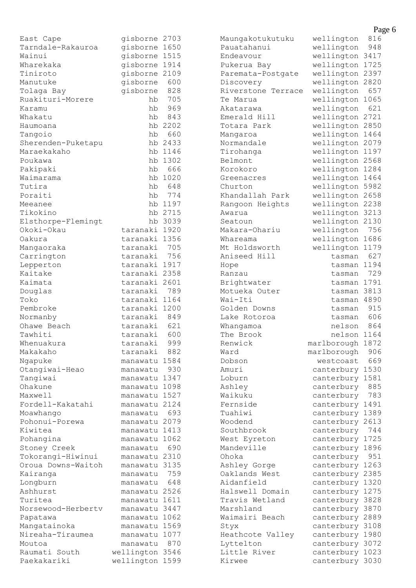| East Cape          | gisborne 2703             |         | Maungakotukutuku         | wellington       | 816 |
|--------------------|---------------------------|---------|--------------------------|------------------|-----|
| Tarndale-Rakauroa  | gisborne 1650             |         | Pauatahanui              | wellington       | 948 |
| Wainui             | gisborne 1515             |         | Endeavour                | wellington 3417  |     |
| Wharekaka          | gisborne 1914             |         | Pukerua Bay              | wellington 1725  |     |
| Tiniroto           | gisborne 2109             |         | Paremata-Postgate        | wellington 2397  |     |
| Manutuke           | gisborne                  | 600     | Discovery                | wellington 2820  |     |
| Tolaga Bay         | gisborne                  | 828     | Riverstone Terrace       | wellington       | 657 |
| Ruakituri-Morere   | hb                        | 705     | Te Marua                 | wellington 1065  |     |
| Karamu             | hb                        | 969     | Akatarawa                | wellington       | 621 |
| Whakatu            | hb                        | 843     | Emerald Hill             | wellington 2721  |     |
| Haumoana           |                           | hb 2202 | Totara Park              | wellington 2850  |     |
| Tangoio            | hb                        | 660     | Mangaroa                 | wellington 1464  |     |
| Sherenden-Puketapu |                           | hb 2433 | Normandale               | wellington 2079  |     |
| Maraekakaho        |                           | hb 1146 | Tirohanga                | wellington 1197  |     |
| Poukawa            |                           | hb 1302 | Belmont                  | wellington 2568  |     |
| Pakipaki           | hb                        | 666     | Korokoro                 | wellington 1284  |     |
| Waimarama          |                           | hb 1020 | Greenacres               | wellington 1464  |     |
| Tutira             | hb                        | 648     | Churton                  | wellington 5982  |     |
| Poraiti            | hb                        | 774     | Khandallah Park          | wellington 2658  |     |
| Meeanee            |                           | hb 1197 | Rangoon Heights          | wellington 2238  |     |
| Tikokino           |                           | hb 2715 | Awarua                   | wellington 3213  |     |
| Elsthorpe-Flemingt |                           | hb 3039 | Seatoun                  | wellington 2130  |     |
| Okoki-Okau         | taranaki 1920             |         | Makara-Ohariu            | wellington       | 756 |
| Oakura             | taranaki 1356             |         | Whareama                 | wellington 1686  |     |
| Mangaoraka         | taranaki                  | 705     | Mt Holdsworth            | wellington 1179  |     |
| Carrington         | taranaki                  | 756     | Aniseed Hill             | tasman           | 627 |
| Lepperton          | taranaki 1917             |         |                          | tasman 1194      |     |
| Kaitake            | taranaki 2358             |         | Hope<br>Ranzau           | tasman           | 729 |
| Kaimata            | taranaki 2601             |         | Brightwater              | tasman 1791      |     |
|                    |                           | 789     |                          | tasman 3813      |     |
| Douglas<br>Toko    | taranaki<br>taranaki 1164 |         | Motueka Outer<br>Wai-Iti | tasman 4890      |     |
|                    |                           |         |                          |                  | 915 |
| Pembroke           | taranaki 1200             | 849     | Golden Downs             | tasman           | 606 |
| Normanby           | taranaki                  |         | Lake Rotoroa             | tasman           |     |
| Ohawe Beach        | taranaki                  | 621     | Whangamoa                | nelson           | 864 |
| Tawhiti            | taranaki                  | 600     | The Brook                | nelson 1164      |     |
| Whenuakura         | taranaki                  | 999     | Renwick                  | marlborough 1872 |     |
| Makakaho           | taranaki                  | 882     | Ward                     | marlborough      | 906 |
| Ngapuke            | manawatu 1584             |         | Dobson                   | westcoast        | 669 |
| Otangiwai-Heao     | manawatu                  | 930     | Amuri                    | canterbury 1530  |     |
| Tangiwai           | manawatu 1347             |         | Loburn                   | canterbury 1581  |     |
| Ohakune            | manawatu 1098             |         | Ashley                   | canterbury       | 885 |
| Maxwell            | manawatu 1527             |         | Waikuku                  | canterbury       | 783 |
| Fordell-Kakatahi   | manawatu 2124             |         | Fernside                 | canterbury 1491  |     |
| Moawhango          | manawatu                  | 693     | Tuahiwi                  | canterbury 1389  |     |
| Pohonui-Porewa     | manawatu 2079             |         | Woodend                  | canterbury 2613  |     |
| Kiwitea            | manawatu 1413             |         | Southbrook               | canterbury       | 744 |
| Pohangina          | manawatu 1062             |         | West Eyreton             | canterbury 1725  |     |
| Stoney Creek       | manawatu                  | 690     | Mandeville               | canterbury 1896  |     |
| Tokorangi-Hiwinui  | manawatu 2310             |         | Ohoka                    | canterbury       | 951 |
| Oroua Downs-Waitoh | manawatu 3135             |         | Ashley Gorge             | canterbury 1263  |     |
| Kairanga           | manawatu                  | 759     | Oaklands West            | canterbury 2385  |     |
| Longburn           | manawatu                  | 648     | Aidanfield               | canterbury 1320  |     |
| Ashhurst           | manawatu 2526             |         | Halswell Domain          | canterbury 1275  |     |
| Turitea            | manawatu 1611             |         | Travis Wetland           | canterbury 3828  |     |
| Norsewood-Herbertv | manawatu 3447             |         | Marshland                | canterbury 3870  |     |
| Papatawa           | manawatu 1062             |         | Waimairi Beach           | canterbury 2889  |     |
| Mangatainoka       | manawatu 1569             |         | Styx                     | canterbury 3108  |     |
| Nireaha-Tiraumea   | manawatu 1077             |         | Heathcote Valley         | canterbury 1980  |     |
| Moutoa             | manawatu                  | 870     | Lyttelton                | canterbury 3072  |     |
| Raumati South      | wellington 3546           |         | Little River             | canterbury 1023  |     |
| Paekakariki        | wellington 1599           |         | Kirwee                   | canterbury 3030  |     |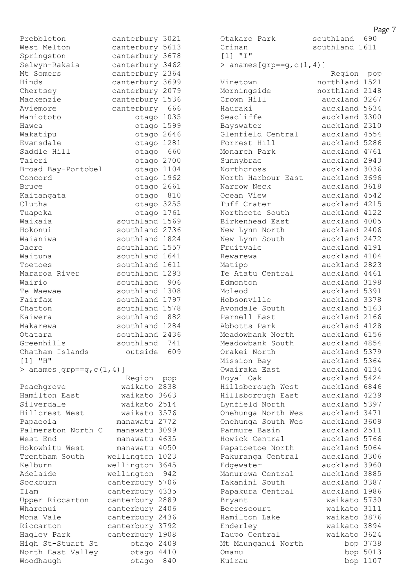| Prebbleton                         | canterbury    | 3021 |
|------------------------------------|---------------|------|
| West Melton                        | canterbury    | 5613 |
| Springston                         | canterbury    | 3678 |
| Selwyn-Rakaia                      | canterbury    | 3462 |
| Mt Somers                          | canterbury    | 2364 |
| Hinds                              | canterbury    | 3699 |
| Chertsey                           | canterbury    | 2079 |
| Mackenzie                          | canterbury    | 1536 |
| Aviemore                           | canterbury    | 666  |
| Maniototo                          | otago 1035    |      |
| Hawea                              | otago 1599    |      |
| Wakatipu                           | otago 2646    |      |
| Evansdale                          | otago         | 1281 |
| Saddle Hill                        | otago         | 660  |
| Taieri                             | otago         | 2700 |
| Broad Bay-Portobel                 | otago         | 1104 |
| Concord                            | otago         | 1962 |
| Bruce                              | otago         | 2661 |
| Kaitangata                         |               | 810  |
|                                    | otago         |      |
| Clutha                             | otago 3255    |      |
| Tuapeka                            | otago 1761    |      |
| Waikaia                            | southland     | 1569 |
| Hokonui                            | southland     | 2736 |
| Waianiwa                           | southland     | 1824 |
| Dacre                              | southland     | 1557 |
| Waituna                            | southland     | 1641 |
| Toetoes                            | southland     | 1611 |
| Mararoa River                      | southland     | 1293 |
| Wairio                             | southland     | 906  |
| Te Waewae                          | southland     | 1308 |
| Fairfax                            | southland     | 1797 |
| Chatton                            | southland     | 1578 |
| Kaiwera                            | southland     | 882  |
| Makarewa                           | southland     | 1284 |
| Otatara                            | southland     | 2436 |
| Greenhills                         | southland     | 741  |
| Chatham Islands                    | outside       | 609  |
| "H"<br>$\lceil 1 \rceil$           |               |      |
| > anames [grp == $g$ , $c(1, 4)$ ] |               |      |
|                                    | Region        | pop  |
| Peachgrove                         | waikato       | 2838 |
| Hamilton East                      | waikato       | 3663 |
| Silverdale                         | waikato 2514  |      |
| Hillcrest West                     | waikato 3576  |      |
| Papaeoia                           | manawatu 2772 |      |
| Palmerston North C                 | manawatu 3099 |      |
| West End                           | manawatu      | 4635 |
| Hokowhitu West                     |               | 4050 |
|                                    | manawatu      |      |
| Trentham South                     | wellington    | 1023 |
| Kelburn                            | wellington    | 3645 |
| Adelaide                           | wellington    | 942  |
| Sockburn                           | canterbury    | 5706 |
| Ilam                               | canterbury    | 4335 |
| Upper Riccarton                    | canterbury    | 2889 |
| Wharenui                           | canterbury    | 2406 |
| Mona Vale                          | canterbury    | 2436 |
| Riccarton                          | canterbury    | 3792 |
| Hagley Park                        | canterbury    | 1908 |
| High St-Stuart St                  | otago         | 2409 |
| North East Valley                  | otago         | 4410 |
| Woodhaugh                          | otago         | 840  |

Otakaro Park southland 690 Crinan southland 1611 [1] "I" > anames  $[qrp == q, c(1, 4)]$  Region pop Vinetown northland 1521 Morningside northland 2148 Crown Hill auckland 3267 Hauraki auckland 5634 Seacliffe auckland 3300 Bayswater auckland 2310 Glenfield Central auckland 4554 Forrest Hill auckland 5286 Monarch Park auckland 4761 Sunnybrae auckland 2943 Northcross auckland 2943<br>Northcross auckland 3036 North Harbour East auckland 3696 Narrow Neck auckland 3618 Ocean View auckland 4542 Tuff Crater auckland 4215 Northcote South auckland 4122 Birkenhead East auckland 4005 New Lynn North auckland 2406 New Lynn South auckland 2472 Fruitvale auckland 4191 Rewarewa auckland 4104 Matipo auckland 2823 Te Atatu Central auckland 4461 Edmonton auckland 3198 Mcleod auckland 5391<br>Hobsonville auckland 3378 Hobsonville auckland 3378 Avondale South auckland 5163 Parnell East auckland 2166 Abbotts Park auckland 4128 Meadowbank North auckland 6156 Meadowbank South auckland 4854 Orakei North auckland 5379 Mission Bay auckland 5364 Owairaka East auckland 4134 Royal Oak auckland 5424 Hillsborough West auckland 6846 Hillsborough East auckland 4239 Lynfield North auckland 5397 Onehunga North Wes auckland 3471 Onehunga South Wes auckland 3609 Panmure Basin auckland 2511<br>Howick Central auckland 5766 Howick Central auckland 5766 Papatoetoe North auckland 5064 Pakuranga Central auckland 3306 Edgewater auckland 3960<br>Manurewa Central auckland 3885 Manurewa Central Takanini South auckland 3387 Papakura Central auckland 1986 Bryant waikato 5730 Beerescourt waikato 3111 Hamilton Lake waikato 3876<br>Frederley waikato 3804 Enderley waikato 3894 Taupo Central waikato 3624 Mt Maunganui North bop 3738 Omanu bop 5013 Kuirau bop 1107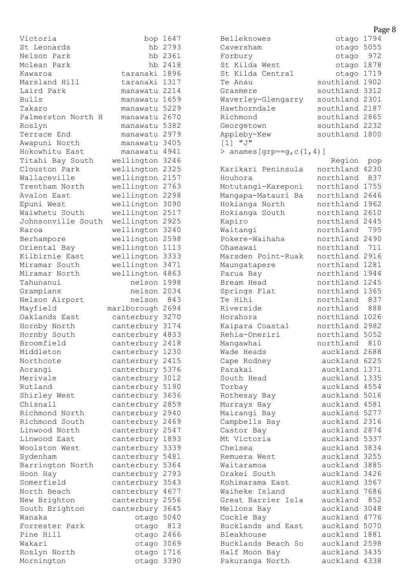Victoria bop 1647 St Leonards hb 2793 Nelson Park hb 2361 Mclean Park hb 2418 Kawaroa taranaki 1896 Marsland Hill taranaki 1317 Laird Park manawatu 2214 Bulls manawatu 1659 Takaro manawatu 5229 Palmerston North H manawatu 2670 Roslyn manawatu 5382 Terrace End manawatu 2979 Awapuni North manawatu 3405 Hokowhitu East manawatu 4941 Titahi Bay South wellington 3246 Clouston Park wellington 2325 Wallaceville wellington 2157 Trentham North wellington 2763 Avalon East wellington 2298 Epuni West wellington 3090 Waiwhetu South wellington 2517 Johnsonville South wellington 2925 Raroa wellington 3240 Berhampore wellington 2598 Oriental Bay wellington 1113 Kilbirnie East wellington 3333 Miramar South wellington 3471 Miramar North wellington 4863 Tahunanui nelson 1998 Grampians nelson 2034 Nelson Airport nelson 843 Mayfield marlborough 2694 Oaklands East canterbury 3270 Hornby North canterbury 3174 Hornby South canterbury 4833 Broomfield canterbury 2418 Middleton canterbury 1230 Northcote canterbury 2415 Aorangi canterbury 5376 Merivale canterbury 3012 Rutland canterbury 5190 Shirley West canterbury 3636 Chisnall canterbury 2859 Richmond North canterbury 2940 Richmond South canterbury 2469 Linwood North canterbury 2547 Linwood East canterbury 1893 Woolston West canterbury 3339 Sydenham canterbury 5481 Barrington North canterbury 5364 Hoon Hay canterbury 2793 Somerfield canterbury 3543 North Beach canterbury 4677 New Brighton canterbury 2556 South Brighton canterbury 3645 Wanaka otago 5040 Forrester Park otago 813 Pine Hill **blue** otago 2466 Wakari **Wakari** otago 3069 Roslyn North otago 1716 Mornington **otago 3390** 

## Belleknowes otago 1794 Caversham otago 5055 Forbury botago 972 St Kilda West otago 1878<br>St Kilda Central otago 1719 St Kilda Central Te Anau southland 1902 Grasmere southland 3312 Waverley-Glengarry southland 2301 Hawthorndale southland 2187 Richmond southland 2865 Georgetown southland 2232 Appleby-Kew southland 1800 [1] "J"  $>$  anames [qrp==q, c(1,4)] Region pop Karikari Peninsula northland 4230 Houhora **northland** 837 Motutangi-Kareponi northland 1755 Mangapa-Matauri Ba northland 2646 Hokianga North northland 1962 Hokianga South northland 2610 Kapiro **northland** 2445 Waitangi northland 795 Pokere-Waihaha northland 2490 Ohaeawai northland 711 Marsden Point-Ruak northland 2916 Maungatapere northland 1281 Parua Bay **northland** 1944 Bream Head northland 1245 Springs Flat northland 1365 Te Hihi northland 837 Riverside **northland** 888 Horahora northland 1026 Kaipara Coastal northland 2982 Rehia-Oneriri northland 5052 Mangawhai northland 810 Wade Heads auckland 2688 Cape Rodney auckland 6225 Parakai auckland 1371 South Head auckland 1335 Torbay auckland 4554 Rothesay Bay auckland 5016 Murrays Bay auckland 4581 Mairangi Bay auckland 5277 Campbells Bay auckland 2316 Castor Bay auckland 2874 Mt Victoria auckland 5337 Chelsea auckland 3834 Remuera West auckland 3255 Waitaramoa auckland 3885 Orakei South auckland 3426 Kohimarama East auckland 3567 Waiheke Island auckland 7686 Great Barrier Isla auckland 852 Mellons Bay **auckland** 3048 Cockle Bay auckland 4776 Bucklands and East auckland 5070 Bleakhouse auckland 1881 Bucklands Beach So auckland 2598 Half Moon Bay auckland 3435 Pakuranga North auckland 4338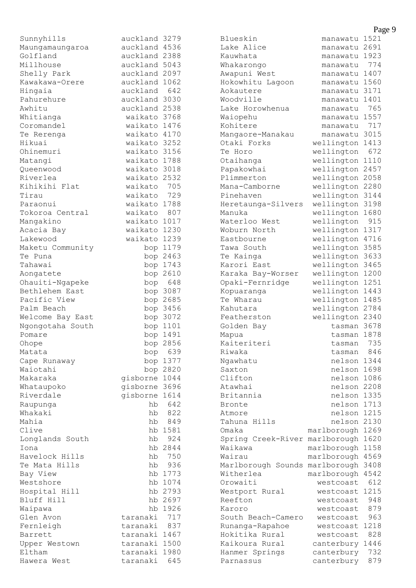|                          |               |                      |                                       | Page 9     |
|--------------------------|---------------|----------------------|---------------------------------------|------------|
| Sunnyhills               | auckland 3279 |                      | manawatu 1521<br>Blueskin             |            |
| Maungamaungaroa          | auckland 4536 |                      | Lake Alice<br>manawatu 2691           |            |
| Golfland                 | auckland 2388 |                      | manawatu 1923<br>Kauwhata             |            |
| Millhouse                | auckland 5043 |                      | Whakarongo<br>manawatu                | 774        |
| Shelly Park              | auckland 2097 |                      | Awapuni West<br>manawatu 1407         |            |
| Kawakawa-Orere           | auckland 1062 |                      | Hokowhitu Lagoon<br>manawatu 1560     |            |
| Hingaia                  | auckland 642  |                      | Aokautere<br>manawatu 3171            |            |
| Pahurehure               | auckland 3030 |                      | Woodville<br>manawatu 1401            |            |
| Awhitu                   | auckland 2538 |                      | Lake Horowhenua<br>manawatu           | 765        |
| Whitianga                | waikato 3768  |                      | Waiopehu<br>manawatu 1557             |            |
| Coromandel               | waikato 1476  |                      | Kohitere<br>manawatu                  | 717        |
| Te Rerenga               | waikato 4170  |                      | manawatu 3015<br>Mangaore-Manakau     |            |
| Hikuai                   | waikato 3252  |                      | Otaki Forks<br>wellington 1413        |            |
| Ohinemuri                | waikato 3156  |                      | wellington<br>Te Horo                 | 672        |
| Matangi                  | waikato 1788  |                      | wellington 1110<br>Otaihanga          |            |
| Oueenwood                | waikato 3018  |                      | wellington 2457<br>Papakowhai         |            |
| Riverlea                 | waikato 2532  |                      | Plimmerton<br>wellington 2058         |            |
| Kihikihi Flat            | waikato 705   |                      | wellington 2280<br>Mana-Camborne      |            |
| Tirau                    | waikato       | 729                  | wellington 3144<br>Pinehaven          |            |
| Paraonui                 | waikato 1788  |                      | wellington 3198<br>Heretaunga-Silvers |            |
| Tokoroa Central          | waikato       | 807                  | wellington 1680<br>Manuka             |            |
| Mangakino                | waikato 1017  |                      | wellington<br>Waterloo West           | 915        |
| Acacia Bay               | waikato 1230  |                      | wellington 1317<br>Woburn North       |            |
| Lakewood                 | waikato 1239  |                      | wellington 4716<br>Eastbourne         |            |
| Maketu Community         |               | bop 1179             | wellington 3585<br>Tawa South         |            |
| Te Puna                  |               | bop 2463             | wellington 3633<br>Te Kainga          |            |
| Tahawai                  |               | bop 1743             | wellington 3465<br>Karori East        |            |
| Aongatete                |               | bop 2610             | wellington 1200<br>Karaka Bay-Worser  |            |
| Ohauiti-Ngapeke          |               | bop 648              | Opaki-Fernridge<br>wellington 1251    |            |
| Bethlehem East           |               | bop 3087             | wellington 1443<br>Kopuaranga         |            |
| Pacific View             |               | bop 2685             | Te Wharau<br>wellington 1485          |            |
| Palm Beach               |               | bop 3456             | wellington 2784<br>Kahutara           |            |
| Welcome Bay East         |               | bop 3072             | wellington 2340<br>Featherston        |            |
| Ngongotaha South         |               | bop 1101             | Golden Bay<br>tasman 3678             |            |
| Pomare                   |               | bop 1491             | tasman 1878<br>Mapua                  |            |
| Ohope<br>Matata          |               | bop 2856             | Kaiteriteri<br>tasman<br>Riwaka       | 735<br>846 |
|                          |               | bop 639              | tasman<br>nelson 1344                 |            |
| Cape Runaway<br>Waiotahi |               | bop 1377<br>bop 2820 | Ngawhatu<br>Saxton<br>nelson 1698     |            |
| Makaraka                 | gisborne 1044 |                      | Clifton<br>nelson 1086                |            |
| Whataupoko               | gisborne 3696 |                      | Atawhai<br>nelson 2208                |            |
| Riverdale                | gisborne 1614 |                      | Britannia<br>nelson 1335              |            |
| Raupunga                 | hb            | 642                  | nelson 1713<br>Bronte                 |            |
| Whakaki                  | hb            | 822                  | nelson 1215<br>Atmore                 |            |
| Mahia                    | hb            | 849                  | Tahuna Hills<br>nelson 2130           |            |
| Clive                    |               | hb 1581              | marlborough 1269<br>Omaka             |            |
| Longlands South          | hb            | 924                  | Spring Creek-River marlborough 1620   |            |
| Iona                     |               | hb 2844              | marlborough 1158<br>Waikawa           |            |
| Havelock Hills           | hb            | 750                  | marlborough 4569<br>Wairau            |            |
| Te Mata Hills            | hb            | 936                  | Marlborough Sounds marlborough 3408   |            |
| Bay View                 |               | hb 1773              | Witherlea<br>marlborough 4542         |            |
| Westshore                |               | hb 1074              | Orowaiti<br>westcoast                 | 612        |
| Hospital Hill            |               | hb 2793              | westcoast 1215<br>Westport Rural      |            |
| Bluff Hill               |               | hb 2697              | Reefton<br>westcoast                  | 948        |
| Waipawa                  |               | hb 1926              | Karoro<br>westcoast                   | 879        |
| Glen Avon                | taranaki 717  |                      | South Beach-Camero<br>westcoast       | 963        |
| Fernleigh                | taranaki      | 837                  | westcoast 1218<br>Runanga-Rapahoe     |            |
| Barrett                  | taranaki 1467 |                      | Hokitika Rural<br>westcoast           | 828        |
| Upper Westown            | taranaki 1500 |                      | Kaikoura Rural<br>canterbury 1446     |            |
| Eltham                   | taranaki 1980 |                      | canterbury<br>Hanmer Springs          | 732        |
| Hawera West              | taranaki      | 645                  | canterbury<br>Parnassus               | 879        |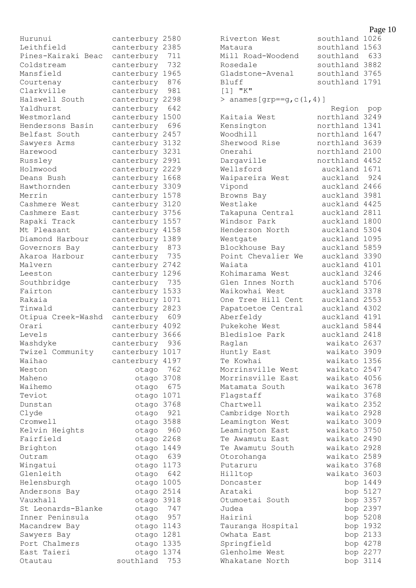| Hurunui                      | canterbury     | 2580         |
|------------------------------|----------------|--------------|
| Leithfield                   | canterbury     | 2385         |
| Pines-Kairaki Beac           | canterbury     | 711          |
| Coldstream                   | canterbury     | 732          |
| Mansfield                    | canterbury     | 1965         |
| Courtenay                    | canterbury     | 876          |
| Clarkville                   | canterbury     | 981          |
| Halswell South               | canterbury     | 2298         |
| Yaldhurst                    | canterbury     | 642          |
| Westmorland                  | canterbury     | 1500         |
| Hendersons Basin             | canterbury     | 696          |
| Belfast South                | canterbury     | 2457         |
| Sawyers Arms                 | canterbury     | 3132         |
| Harewood                     | canterbury     | 3231         |
| Russley                      | canterbury     | 2991         |
| Holmwood                     | canterbury     | 2229         |
| Deans Bush                   | canterbury     | 1668         |
| Hawthornden                  | canterbury     | 3309         |
| Merrin                       | canterbury     | 1578         |
| Cashmere West                | canterbury     | 3120         |
| Cashmere East                | canterbury     | 3756         |
| Rapaki Track                 | canterbury     | 1557         |
| Mt Pleasant                  | canterbury     | 4158         |
| Diamond Harbour              | canterbury     | 1389         |
| Governors Bay                | canterbury     | 873          |
| Akaroa Harbour               | canterbury     | 735          |
| Malvern                      | canterbury     | 2742         |
| Leeston                      | canterbury     | 1296         |
| Southbridge                  | canterbury     | 735          |
| Fairton                      | canterbury     | 1533         |
| Rakaia                       | canterbury     | 1071         |
| Tinwald                      | canterbury     | 2823         |
| Otipua Creek-Washd           | canterbury     | 609          |
| Orari                        | canterbury     | 4092         |
| Levels                       | canterbury     | 3666         |
| Washdyke                     | canterbury     | 936          |
| Twizel<br>Community          | canterbury     | 1017         |
| Waihao                       | canterbury     | 4197         |
| Weston                       | otago          | 762          |
| Maheno                       | otago          | 3708         |
| Waihemo                      | otago          | 675          |
| Teviot                       | otago          | 1071         |
| Dunstan                      | otago          | 3768         |
| Clyde                        | otago          | 921          |
| Cromwell                     | otago          | 3588         |
| Kelvin Heights               | otago          | 960          |
| Fairfield                    | otago          | 2268         |
| Brighton                     | otago          | 1449         |
| Outram                       | otago          | 639          |
| Wingatui                     | otago          | 1173         |
| Glenleith                    | otago          | 642          |
| Helensburgh                  | otago          | 1005         |
| Andersons<br>Bay<br>Vauxhall | otago          | 2514<br>3918 |
| Leonards-Blanke<br>St        | otago          | 747          |
| Inner Peninsula              | otago          | 957          |
| Macandrew Bay                | otago<br>otago | 1143         |
| Sawyers<br>Bay               | otago          | 1281         |
| Port Chalmers                | otago          | 1335         |
| Taieri<br>East               | otago          | 1374         |
| Otautau                      | southland      | 753          |
|                              |                |              |

Riverton West southland 1026 Mataura southland 1563 Mill Road-Woodend southland 633 Rosedale southland 3882 Gladstone-Avenal southland 3765 Bluff southland 1791 [1] "K" > anames  $[qrp == q, c(1, 4)]$  Region pop Kaitaia West northland 3249<br>Kensington northland 1341 northland 1341 Woodhill northland 1647 Sherwood Rise northland 3639 Onerahi northland 2100 Dargaville northland 4452 Wellsford auckland 1671 Waipareira West auckland 924 Vipond auckland 2466 Browns Bay auckland 3981<br>Westlake auckland 4425 Westlake auckland 4425 Takapuna Central auckland 2811 Windsor Park auckland 1800 Henderson North auckland 5304 Westgate auckland 1095 Blockhouse Bay auckland 5859 Point Chevalier We auckland 3390 Waiata **auckland** 4101 Kohimarama West auckland 3246 Glen Innes North auckland 5706 Waikowhai West auckland 3378 One Tree Hill Cent auckland 2553 Papatoetoe Central auckland 4302 Aberfeldy auckland 4191 Pukekohe West auckland 5844 Bledisloe Park auckland 2418 Raglan waikato 2637 Huntly East waikato 3909 Te Kowhai waikato 1356 Morrinsville West waikato 2547 Morrinsville East waikato 4056 Matamata South waikato 3678 Flagstaff waikato 3768 Chartwell waikato 2352 Cambridge North waikato 2928 Leamington West **waikato 3009** Leamington East waikato 3750 Te Awamutu East waikato 2490 Te Awamutu South waikato 2928 Otorohanga waikato 2589 Putaruru waikato 3768 Hilltop waikato 3603 Doncaster bop 1449 Arataki bop 5127 Otumoetai South bop 3357 Judea bop 2397 Hairini bop 5208<br>Tauranga Hospital bop 1932<br>Owhata East bop 2133 Tauranga Hospital Owhata East Springfield bop 4278 Glenholme West bop 2277 Whakatane North bop 3114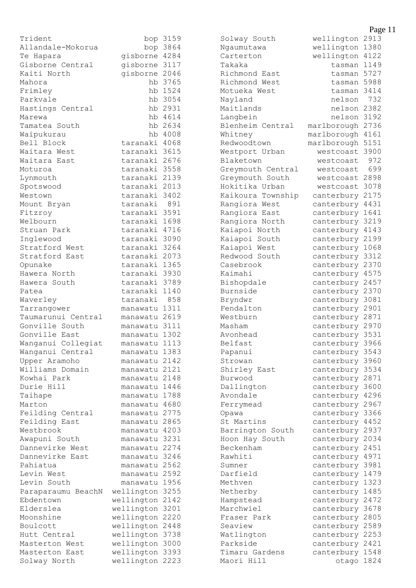| Trident            |               | bop 3159 |
|--------------------|---------------|----------|
| Allandale-Mokorua  |               | bop 3864 |
| Te Hapara          | gisborne 4284 |          |
| Gisborne Central   | gisborne 3117 |          |
| Kaiti North        | gisborne 2046 |          |
| Mahora             |               | hb 3765  |
| Frimley            |               | hb 1524  |
| Parkvale           |               | hb 3054  |
| Hastings Central   |               | hb 2931  |
| Marewa             |               | hb 4614  |
| Tamatea South      |               | hb 2634  |
| Waipukurau         |               | hb 4008  |
| Bell Block         | taranaki 4068 |          |
| Waitara West       | taranaki 3615 |          |
| Waitara East       | taranaki 2676 |          |
| Moturoa            | taranaki      | 3558     |
| Lynmouth           | taranaki      | 2139     |
| Spotswood          | taranaki 2013 |          |
| Westown            | taranaki      | 3402     |
| Mount Bryan        | taranaki      | 891      |
| Fitzroy            | taranaki 3591 |          |
| Welbourn           | taranaki 1698 |          |
| Struan Park        | taranaki      | 4716     |
| Inglewood          | taranaki      | 3090     |
| Stratford West     | taranaki 3264 |          |
| Stratford East     | taranaki      | 2073     |
| Opunake            | taranaki      | 1365     |
| Hawera North       | taranaki      | 3930     |
| Hawera South       | taranaki      | 3789     |
| Patea              | taranaki      | 1140     |
| Waverley           | taranaki      | 858      |
| Tarrangower        | manawatu 1311 |          |
| Taumarunui Central | manawatu      | 2619     |
| Gonville South     | manawatu      | 3111     |
| Gonville East      | manawatu 1302 |          |
| Wanganui Collegiat | manawatu      | 1113     |
| Wanganui Central   | manawatu      | 1383     |
| Upper Aramoho      | manawatu      | 2142     |
| Williams Domain    | manawatu      | 2121     |
| Kowhai Park        | manawatu      | 2148     |
| Durie Hill         | manawatu      | 1446     |
| Taihape            | manawatu      | 1788     |
| Marton             | manawatu      | 4680     |
| Feilding Central   | manawatu      | 2775     |
| Feilding East      | manawatu      | 2865     |
| Westbrook          | manawatu      | 4203     |
| Awapuni South      | manawatu      | 3231     |
| Dannevirke West    | manawatu      | 2274     |
| Dannevirke East    | manawatu      | 3246     |
| Pahiatua           | manawatu 2562 |          |
| Levin West         | manawatu      | 2592     |
| Levin South        | manawatu      | 1956     |
| Paraparaumu BeachN | wellington    | 3255     |
| Ebdentown          | wellington    | 2142     |
| Elderslea          | wellington    | 3201     |
| Moonshine          | wellington    | 2220     |
| Boulcott           | wellington    | 2448     |
| Hutt Central       | wellington    | 3738     |
| Masterton West     | wellington    | 3000     |
| Masterton East     | wellington    | 3393     |
| Solway North       | wellington    | 2223     |

Solway South wellington 2913 Ngaumutawa wellington 1380 Carterton wellington 4122 Takaka tasman 1149 Richmond East<br>
Richmond West<br>
tasman 5988 Richmond West Motueka West tasman 3414 Nayland nelson 732 Maitlands nelson 2382 Langbein nelson 3192 Blenheim Central marlborough 2736 Whitney marlborough 4161 Redwoodtown marlborough 5151 Westport Urban westcoast 3900 Blaketown westcoast 972 Greymouth Central westcoast 699 Greymouth South westcoast 2898 Hokitika Urban westcoast 3078 Kaikoura Township canterbury 2175 Rangiora West canterbury 4431 Rangiora East canterbury 1641 Rangiora North canterbury 3219 Kaiapoi North canterbury 4143 Kaiapoi South canterbury 2199 Kaiapoi West canterbury 1068 Redwood South canterbury 3312 Casebrook canterbury 2370 Kaimahi canterbury 4575<br>Bishopdale canterbury 2457 Burnside canterbury 2370 Bryndwr canterbury 3081<br>Fendalton canterbury 2901 Fendalton canterbury 2901<br>Westburn canterbury 2871 Masham canterbury 2970 Avonhead canterbury 3531 Belfast canterbury 3966 Papanui canterbury 3543 Strowan canterbury 3960<br>Shirley East canterbury 3534 Burwood canterbury 2871<br>Dallington canterbury 3600 Avondale canterbury 4296 Ferrymead canterbury 2967 Opawa canterbury 3366 St Martins canterbury 4452 Barrington South canterbury 2937 Hoon Hay South canterbury 2034 Beckenham canterbury 2451 Rawhiti canterbury 4971 Sumner canterbury 3981 Darfield canterbury 1479 Methven canterbury 1323 Netherby canterbury 1485<br>
Hampstead canterbury 2472 Marchwiel canterbury 3678<br>Fraser Park canterbury 2805 Seaview canterbury 2589 Watlington canterbury 2253 Parkside canterbury 2421 Timaru Gardens canterbury 1548 Maori Hill otago 1824

canterbury 2457 canterbury 2871 canterbury 3534 canterbury 3600 canterbury 2472 canterbury 2805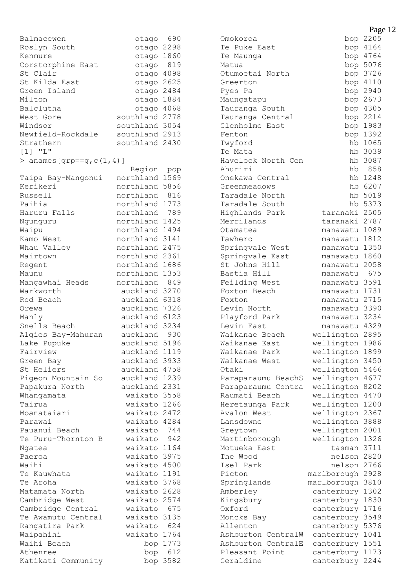| Balmacewen                           | otago                     | 690  |
|--------------------------------------|---------------------------|------|
| Roslyn South                         | otago                     | 2298 |
| Kenmure                              | otago                     | 1860 |
| Corstorphine East                    | otago                     | 819  |
| St Clair                             | otago                     | 4098 |
| St Kilda East                        | otago                     | 2625 |
| Green Island                         | otago 2484                |      |
| Milton                               | otago                     | 1884 |
| Balclutha                            | otago                     | 4068 |
| West Gore                            | southland                 | 2778 |
| Windsor                              | southland                 | 3054 |
| Newfield-Rockdale                    | southland 2913            |      |
| Strathern                            | southland                 | 2430 |
| $[1]$ "L"                            |                           |      |
| anames [grp==g, $c(1, 4)$ ]<br>$\,>$ |                           |      |
|                                      | Region                    | pop  |
| Taipa Bay-Mangonui                   | northland                 | 1569 |
| Kerikeri                             | northland                 | 5856 |
| Russell                              | northland                 | 816  |
| Paihia                               | northland                 | 1773 |
| Haruru Falls                         | northland                 | 789  |
| Ngunguru                             | northland                 | 1425 |
| Waipu                                | northland                 | 1494 |
| Kamo West                            | northland                 | 3141 |
| Whau Valley                          | northland                 | 2475 |
| Mairtown                             | northland                 | 2361 |
| Regent                               | northland                 | 1686 |
| Maunu                                | northland                 | 1353 |
| Mangawhai Heads                      | northland                 | 849  |
| Warkworth                            | auckland                  | 3270 |
| Red Beach                            | auckland                  | 6318 |
| Orewa                                | auckland                  | 7326 |
| Manly                                | auckland                  | 6123 |
| Snells Beach                         | auckland                  | 3234 |
| Algies Bay-Mahuran                   | auckland                  | 930  |
| Lake Pupuke                          | auckland                  | 5196 |
| Fairview                             | auckland                  | 1119 |
|                                      |                           | 3933 |
| Green Bay<br>St Heliers              | auckland<br>auckland 4758 |      |
|                                      | auckland 1239             |      |
| Pigeon Mountain So                   | auckland 2331             |      |
| Papakura North                       |                           |      |
| Whangamata<br>Tairua                 | waikato                   | 3558 |
|                                      | waikato 1266              |      |
| Moanataiari                          | waikato 2472              |      |
| Parawai                              | waikato 4284              |      |
| Pauanui Beach                        | waikato                   | 744  |
| Te Puru-Thornton B                   | waikato                   | 942  |
| Ngatea                               | waikato 1164              |      |
| Paeroa                               | waikato                   | 3975 |
| Waihi                                | waikato 4500              |      |
| Te Kauwhata                          | waikato 1191              |      |
| Te Aroha                             | waikato 3768              |      |
| Matamata North                       | waikato 2628              |      |
| Cambridge West                       | waikato                   | 2574 |
| Cambridge Central                    | waikato                   | 675  |
| Te Awamutu Central                   | waikato                   | 3135 |
| Rangatira Park                       | waikato                   | 624  |
| Waipahihi                            | waikato                   | 1764 |
| Waihi Beach                          | bop                       | 1773 |
| Athenree                             | bop                       | 612  |
| Katikati Community                   | bop                       | 3582 |

| Omokoroa                |                           | $\mathbf{u}_{\mathbf{S}}$<br>bop 2205 |
|-------------------------|---------------------------|---------------------------------------|
| Te Puke East            |                           | bop 4164                              |
| Te Maunga               |                           | bop 4764                              |
| Matua                   |                           | bop 5076                              |
| Otumoetai North         |                           | bop 3726                              |
| Greerton                |                           | bop 4110                              |
| Pyes Pa                 |                           | bop 2940                              |
| Maungatapu              |                           | bop 2673                              |
| Tauranga South          |                           | bop 4305                              |
| Tauranga Central        |                           | bop 2214                              |
| Glenholme East          |                           | bop 1983                              |
| Fenton                  |                           | bop 1392                              |
| Twyford                 |                           | hb 1065                               |
| Te Mata                 |                           | hb 3039                               |
| Havelock North Cen      | hb                        | 3087                                  |
| Ahuriri                 |                           | hb 858                                |
| Onekawa Central         |                           | hb 1248                               |
| Greenmeadows            |                           | hb 6207                               |
| Taradale North          |                           | hb 5019                               |
| Taradale South          |                           | hb 5373                               |
| Highlands Park          | taranaki 2505             |                                       |
| Merrilands              | taranaki 2787             |                                       |
| Otamatea                | manawatu 1089             |                                       |
| Tawhero                 | manawatu                  | 1812                                  |
| Springvale West         | manawatu 1350             |                                       |
| Springvale East         | manawatu 1860             |                                       |
| St Johns Hill           | manawatu                  | 2058                                  |
| Bastia Hill             | manawatu                  | 675                                   |
| Feilding West           | manawatu                  | 3591<br>1731                          |
| Foxton Beach<br>Foxton  | manawatu<br>manawatu 2715 |                                       |
| Levin North             | manawatu 3390             |                                       |
| Playford Park           | manawatu 3234             |                                       |
| Levin East              | manawatu 4329             |                                       |
| Waikanae Beach          | wellington                | 2895                                  |
| Waikanae East           | wellington 1986           |                                       |
| Waikanae Park           | wellington                | 1899                                  |
| Waikanae West           | wellington                | 3450                                  |
| Otaki                   | wellington                | 5466                                  |
| Paraparaumu BeachS      | wellington                | 4677                                  |
| Paraparaumu Centra      | wellington                | 8202                                  |
| Raumati Beach           | wellington                | 4470                                  |
| Heretaunga Park         | wellington                | 1200                                  |
| Avalon West             | wellington                | 2367                                  |
| Lansdowne               | wellington                | 3888                                  |
| Greytown                | wellington                | 2001                                  |
| Martinborough           | wellington                | 1326                                  |
| Motueka East            | tasman                    | 3711                                  |
| The Wood                | nelson                    | 2820                                  |
| Isel Park               | nelson                    | 2766                                  |
| Picton                  | marlborough               | 2928<br>3810                          |
| Springlands<br>Amberley | marlborough<br>canterbury | 1302                                  |
| Kingsbury               | canterbury                | 1830                                  |
| Oxford                  | canterbury                | 1716                                  |
| Moncks Bay              | canterbury                | 3549                                  |
| Allenton                | canterbury                | 5376                                  |
| Ashburton<br>CentralW   | canterbury                | 1041                                  |
| Ashburton CentralE      | canterbury                | 1551                                  |
| Pleasant Point          | canterbury                | 1173                                  |
| Geraldine               | canterbury                | 2244                                  |
|                         |                           |                                       |